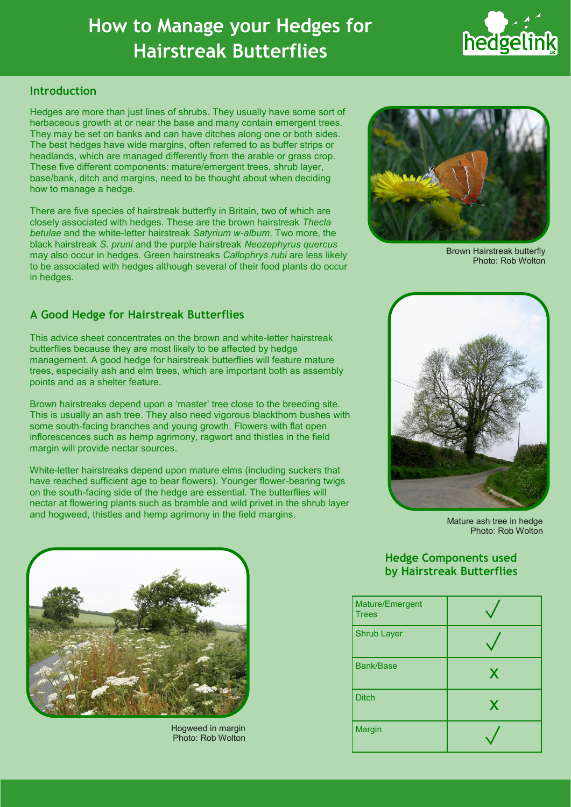# **How to Manage your Hedges for Hairstreak Butterflies**



## **Introduction**

Hedges are more than just lines of shrubs. They usually have some sort of herbaceous growth at or near the base and many contain emergent trees. They may be set on banks and can have ditches along one or both sides. The best hedges have wide margins, often referred to as buffer strips or headlands, which are managed differently from the arable or grass crop. These five different components: mature/emergent trees, shrub layer, base/bank, ditch and margins, need to be thought about when deciding how to manage a hedge.

There are five species of hairstreak butterfly in Britain, two of which are closely associated with hedges. These are the brown hairstreak *Thecla betulae* and the white-letter hairstreak *Satyrium w-album*. Two more, the black hairstreak *S. pruni* and the purple hairstreak *Neozephyrus quercus* may also occur in hedges. Green hairstreaks *Callophrys rubi* are less likely to be associated with hedges although several of their food plants do occur in hedges.



Brown Hairstreak butterfly Photo: Rob Wolton

## **A Good Hedge for Hairstreak Butterflies**

This advice sheet concentrates on the brown and white-letter hairstreak butterflies because they are most likely to be affected by hedge management. A good hedge for hairstreak butterflies will feature mature trees, especially ash and elm trees, which are important both as assembly points and as a shelter feature.

Brown hairstreaks depend upon a 'master' tree close to the breeding site. This is usually an ash tree. They also need vigorous blackthorn bushes with some south-facing branches and young growth. Flowers with flat open inflorescences such as hemp agrimony, ragwort and thistles in the field margin will provide nectar sources.

White-letter hairstreaks depend upon mature elms (including suckers that have reached sufficient age to bear flowers). Younger flower-bearing twigs on the south-facing side of the hedge are essential. The butterflies will nectar at flowering plants such as bramble and wild privet in the shrub layer and hogweed, thistles and hemp agrimony in the field margins.



Mature ash tree in hedge Photo: Rob Wolton

# **Hedge Components used by Hairstreak Butterflies**

| Mature/Emergent<br><b>Trees</b> |   |
|---------------------------------|---|
| <b>Shrub Layer</b>              |   |
| <b>Bank/Base</b>                | X |
| <b>Ditch</b>                    | X |
| Margin                          |   |



Hogweed in margin Photo: Rob Wolton